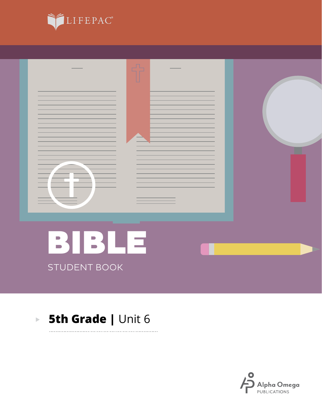



. . . . . . . . .

#### **5th Grade | Unit 6**  $\mathbf{E}^{(1)}$

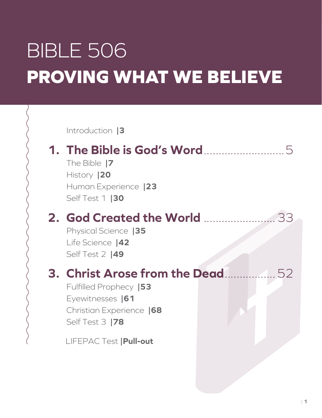# BIBLE 506 **PROVING WHAT WE BELIEVE**

Introduction **|3**

## **1. The Bible is God's Word**...........................5

The Bible **|7** History **|20** Human Experience **|23** Self Test 1 **|30**

### **2. God Created the World** ........................33

Physical Science **|35** Life Science **|42** Self Test 2 **|49**

# **3. Christ Arose from the Dead**.................52

Fulfilled Prophecy **|53** Eyewitnesses **|61** Christian Experience **|68** Self Test 3 **|78**

LIFEPAC Test **|Pull-out**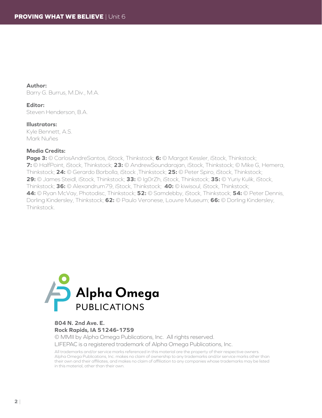**Author:** Barry G. Burrus, M.Div., M.A.

**Editor:** Steven Henderson, B.A.

**Illustrators:** Kyle Bennett, A.S. Mark Nuñes

#### **Media Credits:**

**Page 3:** © CarlosAndreSantos, iStock, Thinkstock; **6:** © Margot Kessler, iStock, Thinkstock; **7:** © HalfPoint, iStock, Thinkstock; **23:** © AndrewSoundarajan, iStock, Thinkstock; © Mike G, Hemera, Thinkstock; **24:** © Gerardo Borbolla, iStock ,Thinkstock; **25:** © Peter Spiro, iStock, Thinkstock; **29:** © James Steidl, iStock, Thinkstock; **33:** © Ig0rZh, iStock, Thinkstock; **35:** © Yuriy Kulik, iStock, Thinkstock; **36:** © Alexandrum79, iStock, Thinkstock; **40:** © kiwisoul, iStock, Thinkstock; **44:** © Ryan McVay, Photodisc, Thinkstock; **52:** © Samdebby, iStock, Thinkstock; **54:** © Peter Dennis, Dorling Kindersley, Thinkstock; **62:** © Paulo Veronese, Louvre Museum; **66:** © Dorling Kindersley, **Thinkstock** 



#### **804 N. 2nd Ave. E. Rock Rapids, IA 51246-1759**

© MMII by Alpha Omega Publications, Inc. All rights reserved. LIFEPAC is a registered trademark of Alpha Omega Publications, Inc.

All trademarks and/or service marks referenced in this material are the property of their respective owners. Alpha Omega Publications, Inc. makes no claim of ownership to any trademarks and/or service marks other than their own and their affiliates, and makes no claim of affiliation to any companies whose trademarks may be listed in this material, other than their own.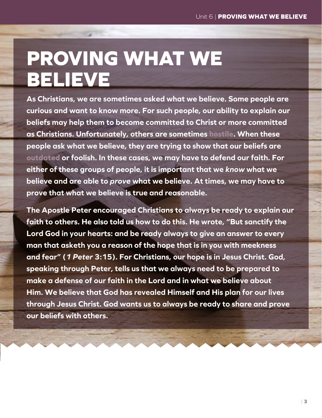# **PROVING WHAT WE BELIEVE**

**As Christians, we are sometimes asked what we believe. Some people are curious and want to know more. For such people, our ability to explain our beliefs may help them to become committed to Christ or more committed as Christians. Unfortunately, others are sometimes hostile. When these people ask what we believe, they are trying to show that our beliefs are outdated or foolish. In these cases, we may have to defend our faith. For either of these groups of people, it is important that we** *know* **what we believe and are able to** *prove* **what we believe. At times, we may have to prove that what we believe is true and reasonable.**

**The Apostle Peter encouraged Christians to always be ready to explain our faith to others. He also told us how to do this. He wrote, "But sanctify the Lord God in your hearts: and be ready always to give an answer to every man that asketh you a reason of the hope that is in you with meekness and fear" (***1 Peter* **3:15). For Christians, our hope is in Jesus Christ. God, speaking through Peter, tells us that we always need to be prepared to make a defense of our faith in the Lord and in what we believe about Him. We believe that God has revealed Himself and His plan for our lives through Jesus Christ. God wants us to always be ready to share and prove our beliefs with others.**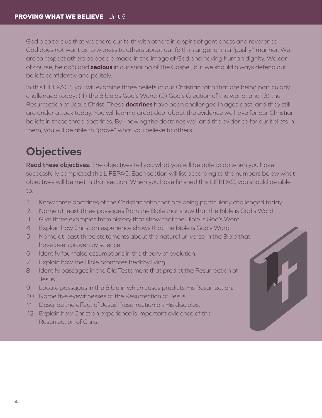God also tells us that we share our faith with others in a spirit of gentleness and reverence. God does not want us to witness to others about our faith in anger or in a "pushy" manner. We are to respect others as people made in the image of God and having human dignity. We can, of course, be *bold* and **zealous** in our sharing of the Gospel, but we should always defend our beliefs confidently and politely.

In this LIFEPAC<sup>®</sup>, you will examine three beliefs of our Christian faith that are being particularly challenged today: (1) the Bible as God's Word; (2) God's Creation of the world; and (3) the Resurrection of Jesus Christ. These **doctrines** have been challenged in ages past, and they still are under attack today. You will learn a great deal about the evidence we have for our Christian beliefs in these three doctrines. By knowing the doctrines well and the evidence for our beliefs in them, you will be able to "prove" what you believe to others.

## **Objectives**

**Read these objectives.** The objectives tell you what you will be able to do when you have successfully completed this LIFEPAC. Each section will list according to the numbers below what objectives will be met in that section. When you have finished this LIFEPAC, you should be able to:

- 1. Know three doctrines of the Christian faith that are being particularly challenged today.
- 2. Name at least three passages from the Bible that show that the Bible is God's Word.
- 3. Give three examples from history that show that the Bible is God's Word.
- 4. Explain how Christian experience shows that the Bible is God's Word.
- 5. Name at least three statements about the natural universe in the Bible that have been proven by science.
- 6. Identify four false assumptions in the theory of evolution.
- 7. Explain how the Bible promotes healthy living.
- 8. Identify passages in the Old Testament that predict the Resurrection of Jesus.
- 9. Locate passages in the Bible in which Jesus predicts His Resurrection.
- 10. Name five eyewitnesses of the Resurrection of Jesus.
- 11. Describe the effect of Jesus' Resurrection on His disciples.
- 12. Explain how Christian experience is important evidence of the Resurrection of Christ.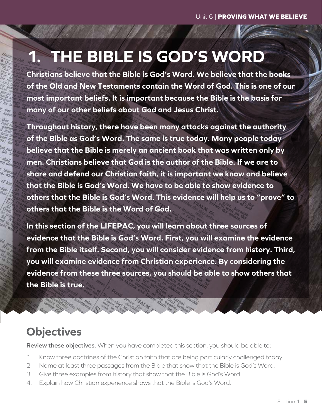# **1. THE BIBLE IS GOD'S WORD**

**Christians believe that the Bible is God's Word. We believe that the books of the Old and New Testaments contain the Word of God. This is one of our most important beliefs. It is important because the Bible is the basis for many of our other beliefs about God and Jesus Christ.**

**Throughout history, there have been many attacks against the authority of the Bible as God's Word. The same is true today. Many people today believe that the Bible is merely an ancient book that was written only by men. Christians believe that God is the author of the Bible. If we are to share and defend our Christian faith, it is important we know and believe that the Bible is God's Word. We have to be able to show evidence to others that the Bible is God's Word. This evidence will help us to "prove" to others that the Bible is the Word of God.**

**In this section of the LIFEPAC, you will learn about three sources of evidence that the Bible is God's Word. First, you will examine the evidence from the Bible itself. Second, you will consider evidence from history. Third, you will examine evidence from Christian experience. By considering the evidence from these three sources, you should be able to show others that the Bible is true.**

#### **Objectives**

**Review these objectives.** When you have completed this section, you should be able to:

- 1. Know three doctrines of the Christian faith that are being particularly challenged today.
- 2. Name at least three passages from the Bible that show that the Bible is God's Word.
- 3. Give three examples from history that show that the Bible is God's Word.
- 4. Explain how Christian experience shows that the Bible is God's Word.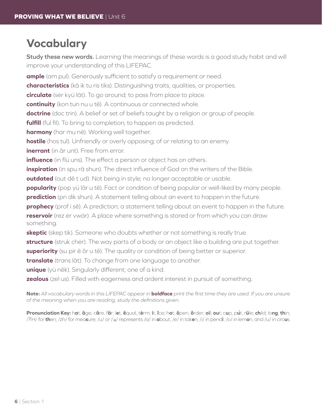## **Vocabulary**

**Study these new words.** Learning the meanings of these words is a good study habit and will improve your understanding of this LIFEPAC.

**ample** (am pul). Generously sufficient to satisfy a requirement or need.

**characteristics** (kā ik tu ris tiks). Distinguishing traits, qualities, or properties.

**circulate** (sėr kyü lāt). To go around; to pass from place to place.

**continuity** (kon tun nu u tē). A continuous or connected whole.

**doctrine** (doc trin). A belief or set of beliefs taught by a religion or group of people.

**fulfill** (ful fil). To bring to completion; to happen as predicted.

**harmony** (har mu nē). Working well together.

**hostile** (hos tul). Unfriendly or overly opposing; of or relating to an enemy.

**inerrant** (in ãr unt). Free from error.

**influence** (in flü uns). The effect a person or object has on others.

**inspiration** (in spu rā shun). The direct influence of God on the writers of the Bible.

**outdated** (out dē t ud). Not being in style; no longer acceptable or usable.

**popularity** (pop yü lãr u tē). Fact or condition of being popular or well-liked by many people.

**prediction** (pri dik shun). A statement telling about an event to happen in the future.

**prophecy** (prof i sē). A prediction; a statement telling about an event to happen in the future.

**reservoir** (rez ėr vwär). A place where something is stored or from which you can draw something.

**skeptic** (skep tik). Someone who doubts whether or not something is really true.

**structure** (struk chėr). The way parts of a body or an object like a building are put together.

**superiority** (su pir ē ôr u tē). The quality or condition of being better or superior.

**translate** (trans lāt). To change from one language to another.

**unique** (yü nēk). Singularly different; one of a kind.

**zealous** (zel us). Filled with eagerness and ardent interest in pursuit of something.

**Note:** *All vocabulary words in this LIFEPAC appear in* **boldface** *print the first time they are used. If you are unsure of the meaning when you are reading, study the definitions given.*

Pronunciation Key: hat, āge, cãre, fär; let, ēqual, tėrm; it, īce; hot, ōpen, ôrder; oil; out; cup, put, rüle; child; long; thin; /ŦH/ for **th**en; /zh/ for mea**s**ure; /u/ or / <sup>e</sup> / represents /a/ in **a**bout, /e/ in tak**e**n, /i/ in penc**i**l, /o/ in lem**o**n, and /u/ in circ**u**s.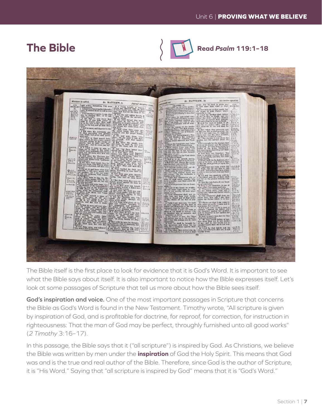#### **The Bible**



**Read** *Psalm* **119:1–18**



The Bible itself is the first place to look for evidence that it is God's Word. It is important to see what the Bible says about itself. It is also important to notice how the Bible expresses itself. Let's look at some passages of Scripture that tell us more about how the Bible sees itself.

**God's inspiration and voice.** One of the most important passages in Scripture that concerns the Bible as God's Word is found in the New Testament. Timothy wrote, "All scripture is given by inspiration of God, and is profitable for doctrine, for reproof, for correction, for instruction in righteousness: That the man of God may be perfect, throughly furnished unto all good works" (*2 Timothy* 3:16–17).

In this passage, the Bible says that it ("all scripture") is inspired by God. As Christians, we believe the Bible was written by men under the **inspiration** of God the Holy Spirit. This means that God was and is the true and real author of the Bible. Therefore, since God is the author of Scripture, it is "His Word." Saying that "all scripture is inspired by God" means that it is "God's Word."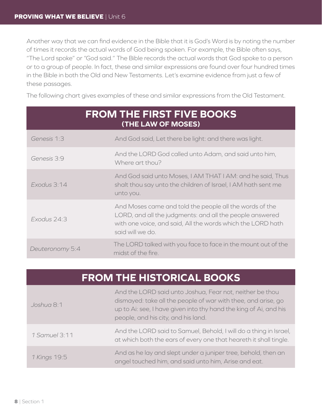Another way that we can find evidence in the Bible that it is God's Word is by noting the number of times it records the actual words of God being spoken. For example, the Bible often says, "The Lord spoke" or "God said." The Bible records the actual words that God spoke to a person or to a group of people. In fact, these and similar expressions are found over four hundred times in the Bible in both the Old and New Testaments. Let's examine evidence from just a few of these passages.

The following chart gives examples of these and similar expressions from the Old Testament.

|                 | <b>FROM THE FIRST FIVE BOOKS</b><br>(THE LAW OF MOSES)                                                                                                                                                 |
|-----------------|--------------------------------------------------------------------------------------------------------------------------------------------------------------------------------------------------------|
| Genesis 1:3     | And God said, Let there be light: and there was light.                                                                                                                                                 |
| Genesis 3:9     | And the LORD God called unto Adam, and said unto him,<br>Where art thou?                                                                                                                               |
| Exodus 3:14     | And God said unto Moses, I AM THAT I AM: and he said, Thus<br>shalt thou say unto the children of Israel, I AM hath sent me<br>unto you.                                                               |
| Exodus 24:3     | And Moses came and told the people all the words of the<br>LORD, and all the judgments: and all the people answered<br>with one voice, and said, All the words which the LORD hath<br>said will we do. |
| Deuteronomy 5:4 | The LORD talked with you face to face in the mount out of the<br>midst of the fire.                                                                                                                    |

#### **FROM THE HISTORICAL BOOKS**

| Joshua 8:1    | And the LORD said unto Joshua, Fear not, neither be thou<br>dismayed: take all the people of war with thee, and arise, go<br>up to Ai: see, I have given into thy hand the king of Ai, and his<br>people, and his city, and his land. |
|---------------|---------------------------------------------------------------------------------------------------------------------------------------------------------------------------------------------------------------------------------------|
| 1 Samuel 3:11 | And the LORD said to Samuel, Behold, I will do a thing in Israel,<br>at which both the ears of every one that heareth it shall tingle.                                                                                                |
| 1 Kings 19:5  | And as he lay and slept under a juniper tree, behold, then an<br>angel touched him, and said unto him, Arise and eat.                                                                                                                 |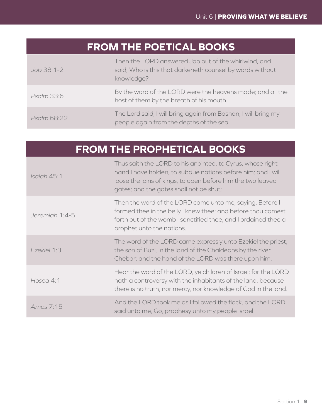## **FROM THE POETICAL BOOKS**

| Job 38:1-2  | Then the LORD answered Job out of the whirlwind, and<br>said, Who is this that darkeneth counsel by words without<br>knowledge? |
|-------------|---------------------------------------------------------------------------------------------------------------------------------|
| Psalm 33:6  | By the word of the LORD were the heavens made; and all the<br>host of them by the breath of his mouth.                          |
| Psalm 68:22 | The Lord said, I will bring again from Bashan, I will bring my<br>people again from the depths of the sea                       |

# **FROM THE PROPHETICAL BOOKS**

| Isaiah 45:1    | Thus saith the LORD to his anointed, to Cyrus, whose right<br>hand I have holden, to subdue nations before him; and I will<br>loose the loins of kings, to open before him the two leaved<br>gates; and the gates shall not be shut; |
|----------------|--------------------------------------------------------------------------------------------------------------------------------------------------------------------------------------------------------------------------------------|
| Jeremiah 1:4-5 | Then the word of the LORD came unto me, saying, Before I<br>formed thee in the belly I knew thee; and before thou camest<br>forth out of the womb I sanctified thee, and I ordained thee a<br>prophet unto the nations.              |
| Ezekiel 1:3    | The word of the LORD came expressly unto Ezekiel the priest,<br>the son of Buzi, in the land of the Chaldeans by the river<br>Chebar; and the hand of the LORD was there upon him.                                                   |
| Hosea 4:1      | Hear the word of the LORD, ye children of Israel: for the LORD<br>hath a controversy with the inhabitants of the land, because<br>there is no truth, nor mercy, nor knowledge of God in the land.                                    |
| Amos 7:15      | And the LORD took me as I followed the flock, and the LORD<br>said unto me, Go, prophesy unto my people Israel.                                                                                                                      |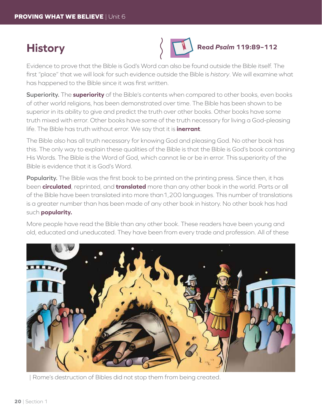#### **History**



Evidence to prove that the Bible is God's Word can also be found outside the Bible itself. The first "place" that we will look for such evidence outside the Bible is *history*. We will examine what has happened to the Bible since it was first written.

**Superiority.** The **superiority** of the Bible's contents when compared to other books, even books of other world religions, has been demonstrated over time. The Bible has been shown to be superior in its ability to give and predict the truth over other books. Other books have some truth mixed with error. Other books have some of the truth necessary for living a God-pleasing life. The Bible has truth without error. We say that it is **inerrant**.

The Bible also has all truth necessary for knowing God and pleasing God. No other book has this. The only way to explain these qualities of the Bible is that the Bible is God's book containing His Words. The Bible is the Word of God, which cannot lie or be in error. This superiority of the Bible is evidence that it is God's Word.

**Popularity.** The Bible was the first book to be printed on the printing press. Since then, it has been **circulated**, reprinted, and **translated** more than any other book in the world. Parts or all of the Bible have been translated into more than1,200 languages. This number of translations is a greater number than has been made of any other book in history. No other book has had such **popularity.**

More people have read the Bible than any other book. These readers have been young and old, educated and uneducated. They have been from every trade and profession. All of these



| Rome's destruction of Bibles did not stop them from being created.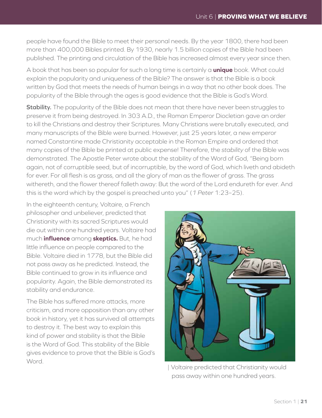people have found the Bible to meet their personal needs. By the year 1800, there had been more than 400,000 Bibles printed. By 1930, nearly 1.5 billion copies of the Bible had been published. The printing and circulation of the Bible has increased almost every year since then.

A book that has been so popular for such a long time is certainly a **unique** book. What could explain the popularity and uniqueness of the Bible? The answer is that the Bible is a book written by God that meets the needs of human beings in a way that no other book does. The popularity of the Bible through the ages is good evidence that the Bible is God's Word.

**Stability.** The popularity of the Bible does not mean that there have never been struggles to preserve it from being destroyed. In 303 A.D., the Roman Emperor Diocletian gave an order to kill the Christians and destroy their Scriptures. Many Christians were brutally executed, and many manuscripts of the Bible were burned. However, just 25 years later, a new emperor named Constantine made Christianity acceptable in the Roman Empire and ordered that many copies of the Bible be printed at public expense! Therefore, the *stability* of the Bible was demonstrated. The Apostle Peter wrote about the stability of the Word of God, "Being born again, not of corruptible seed, but of incorruptible, by the word of God, which liveth and abideth for ever. For all flesh is as grass, and all the glory of man as the flower of grass. The grass withereth, and the flower thereof falleth away: But the word of the Lord endureth for ever. And this is the word which by the gospel is preached unto you" (*1 Peter* 1:23–25).

In the eighteenth century, Voltaire, a French philosopher and unbeliever, predicted that Christianity with its sacred Scriptures would die out within one hundred years. Voltaire had much **influence** among **skeptics.** But, he had little influence on people compared to the Bible. Voltaire died in 1778, but the Bible did not pass away as he predicted. Instead, the Bible continued to grow in its influence and popularity. Again, the Bible demonstrated its stability and endurance.

The Bible has suffered more attacks, more criticism, and more opposition than any other book in history, yet it has survived all attempts to destroy it. The best way to explain this kind of power and stability is that the Bible is the Word of God. This stability of the Bible gives evidence to prove that the Bible is God's Word.



| Voltaire predicted that Christianity would pass away within one hundred years.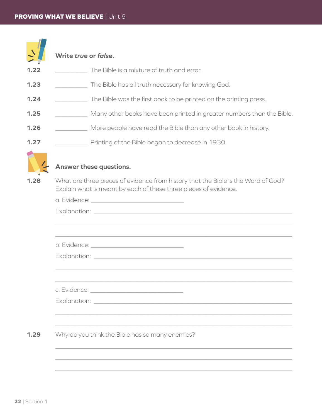

| 1.22 | The Bible is a mixture of truth and error.                                                                                                                                                                                     |
|------|--------------------------------------------------------------------------------------------------------------------------------------------------------------------------------------------------------------------------------|
| 1.23 | The Bible has all truth necessary for knowing God.                                                                                                                                                                             |
| 1.24 | The Bible was the first book to be printed on the printing press.                                                                                                                                                              |
| 1.25 | Many other books have been printed in greater numbers than the Bible.                                                                                                                                                          |
| 1.26 | More people have read the Bible than any other book in history.                                                                                                                                                                |
| 1.27 | Printing of the Bible began to decrease in 1930.                                                                                                                                                                               |
|      | Answer these questions.                                                                                                                                                                                                        |
| 1.28 | What are three pieces of evidence from history that the Bible is the Word of God?<br>Explain what is meant by each of these three pieces of evidence.                                                                          |
|      |                                                                                                                                                                                                                                |
|      | Explanation: Letters and the second second second second second second second second second second second second second second second second second second second second second second second second second second second seco |
|      |                                                                                                                                                                                                                                |
|      |                                                                                                                                                                                                                                |
|      |                                                                                                                                                                                                                                |
|      |                                                                                                                                                                                                                                |
|      | c. Evidence: The contract of the contract of the contract of the contract of the contract of the contract of the contract of the contract of the contract of the contract of the contract of the contract of the contract of t |
|      | Explanation:                                                                                                                                                                                                                   |
|      |                                                                                                                                                                                                                                |
|      |                                                                                                                                                                                                                                |
| 1.29 | Why do you think the Bible has so many enemies?                                                                                                                                                                                |
|      |                                                                                                                                                                                                                                |
|      |                                                                                                                                                                                                                                |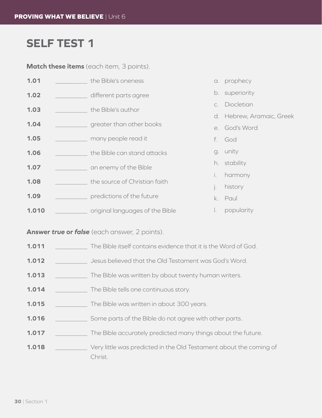## **SELF TEST 1**

**Match these items** (each item, 3 points).

| 1.01  |  | the Bible's oneness             |                           | a. prophecy    |
|-------|--|---------------------------------|---------------------------|----------------|
| 1.02  |  | different parts agree           |                           | b. superiority |
| 1.03  |  | the Bible's author              | $C_{1}$                   | Diocletian     |
|       |  |                                 | d. Hebrew, Aramaic, Greek |                |
| 1.04  |  | greater than other books        |                           | e. God's Word  |
| 1.05  |  | many people read it             |                           | f. God         |
| 1.06  |  | the Bible can stand attacks     |                           | g. unity       |
| 1.07  |  | an enemy of the Bible           |                           | h. stability   |
|       |  |                                 | İ.                        | harmony        |
| 1.08  |  | the source of Christian faith   |                           | history        |
| 1.09  |  | predictions of the future       | k.                        | Paul           |
| 1.010 |  | original languages of the Bible | Ι.                        | popularity     |

**Answer** *true* **or** *false* (each answer, 2 points).

- **1.011** \_\_\_\_\_\_\_\_\_\_ The Bible itself contains evidence that it is the Word of God.
- **1.012** \_\_\_\_\_\_\_\_\_\_ Jesus believed that the Old Testament was God's Word.
- **1.013** \_\_\_\_\_\_\_\_\_\_ The Bible was written by about twenty human writers.
- **1.014** \_\_\_\_\_\_\_\_\_\_ The Bible tells one continuous story.
- **1.015** \_\_\_\_\_\_\_\_\_\_ The Bible was written in about 300 years.
- **1.016** \_\_\_\_\_\_\_\_\_\_ Some parts of the Bible do not agree with other parts.
- **1.017** \_\_\_\_\_\_\_\_\_\_\_\_ The Bible accurately predicted many things about the future.
- **1.018** \_\_\_\_\_\_\_\_\_\_ Very little was predicted in the Old Testament about the coming of Christ.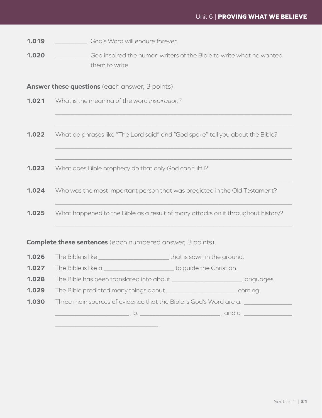**1.019 Cod's Word will endure forever.** 

**1.020 1.020** God inspired the human writers of the Bible to write what he wanted them to write.

**Answer these questions** (each answer, 3 points).

**1.021** What is the meaning of the word *inspiration*?

**1.022** What do phrases like "The Lord said" and "God spoke" tell you about the Bible?

 $\_$  , and the set of the set of the set of the set of the set of the set of the set of the set of the set of the set of the set of the set of the set of the set of the set of the set of the set of the set of the set of th

 $\_$  , and the set of the set of the set of the set of the set of the set of the set of the set of the set of the set of the set of the set of the set of the set of the set of the set of the set of the set of the set of th

 $\_$  , and the set of the set of the set of the set of the set of the set of the set of the set of the set of the set of the set of the set of the set of the set of the set of the set of the set of the set of the set of th

 $\_$  , and the set of the set of the set of the set of the set of the set of the set of the set of the set of the set of the set of the set of the set of the set of the set of the set of the set of the set of the set of th

 $\_$  , and the set of the set of the set of the set of the set of the set of the set of the set of the set of the set of the set of the set of the set of the set of the set of the set of the set of the set of the set of th

 $\_$  , and the set of the set of the set of the set of the set of the set of the set of the set of the set of the set of the set of the set of the set of the set of the set of the set of the set of the set of the set of th

 $\_$  , and the set of the set of the set of the set of the set of the set of the set of the set of the set of the set of the set of the set of the set of the set of the set of the set of the set of the set of the set of th

- **1.023** What does Bible prophecy do that only God can fulfill?
- **1.024** Who was the most important person that was predicted in the Old Testament?

**1.025** What happened to the Bible as a result of many attacks on it throughout history?

#### **Complete these sentences** (each numbered answer, 3 points).

\_\_\_\_\_\_\_\_\_\_\_\_\_\_\_\_\_\_\_\_\_\_\_\_\_\_\_\_\_\_\_\_ .

- **1.026** The Bible is like \_\_\_\_\_\_\_\_\_\_\_\_\_\_\_\_\_\_\_\_\_\_ that is sown in the ground.
- **1.027** The Bible is like a \_\_\_\_\_\_\_\_\_\_\_\_\_\_\_\_\_\_\_\_\_\_\_\_\_\_\_ to guide the Christian.

**1.028** The Bible has been translated into about \_\_\_\_\_\_\_\_\_\_\_\_\_\_\_\_\_\_\_\_\_\_ languages.

**1.029** The Bible predicted many things about \_\_\_\_\_\_\_\_\_\_\_\_\_\_\_\_\_\_\_\_\_\_ coming.

| 1.030 | Three main sources of evidence that the Bible is God's Word are a. |
|-------|--------------------------------------------------------------------|
|       |                                                                    |

 $\Box$ , b.  $\Box$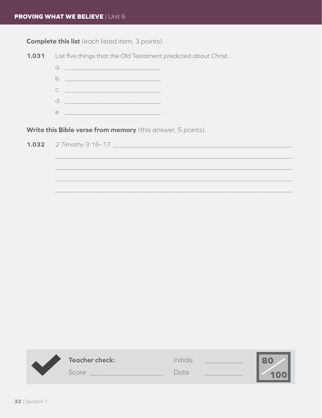**Complete this list** (each listed item, 3 points).

List five things that the Old Testament predicted about Christ.  $1.031$  $\alpha$ .  $C.$   $\qquad \qquad$ d. <u>\_\_\_\_\_\_\_\_\_\_\_\_\_\_\_\_\_\_\_\_\_\_\_\_\_\_\_\_\_\_\_\_</u>  $e$  <u>expressions</u> and the set of  $e$ Write this Bible verse from memory (this answer, 5 points). 2 Timothy 3:16-17 1.032